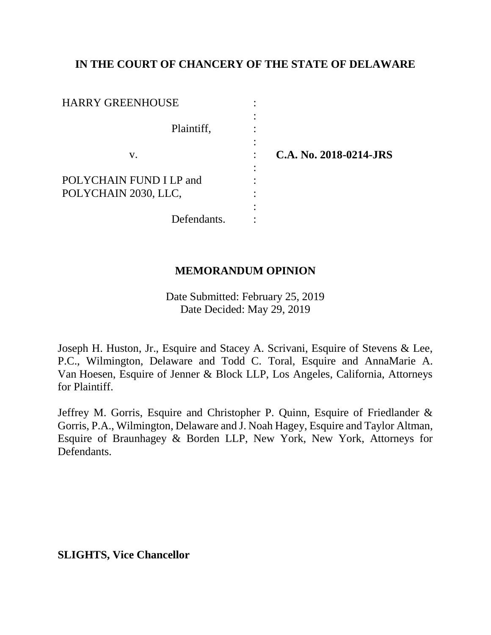## **IN THE COURT OF CHANCERY OF THE STATE OF DELAWARE**

| <b>HARRY GREENHOUSE</b> | ٠ |                        |
|-------------------------|---|------------------------|
| Plaintiff,              |   |                        |
| V.                      | ٠ | C.A. No. 2018-0214-JRS |
| POLYCHAIN FUND I LP and |   |                        |
| POLYCHAIN 2030, LLC,    |   |                        |
|                         |   |                        |
| Defendants.             |   |                        |

## **MEMORANDUM OPINION**

Date Submitted: February 25, 2019 Date Decided: May 29, 2019

Joseph H. Huston, Jr., Esquire and Stacey A. Scrivani, Esquire of Stevens & Lee, P.C., Wilmington, Delaware and Todd C. Toral, Esquire and AnnaMarie A. Van Hoesen, Esquire of Jenner & Block LLP, Los Angeles, California, Attorneys for Plaintiff.

Jeffrey M. Gorris, Esquire and Christopher P. Quinn, Esquire of Friedlander & Gorris, P.A., Wilmington, Delaware and J. Noah Hagey, Esquire and Taylor Altman, Esquire of Braunhagey & Borden LLP, New York, New York, Attorneys for Defendants.

**SLIGHTS, Vice Chancellor**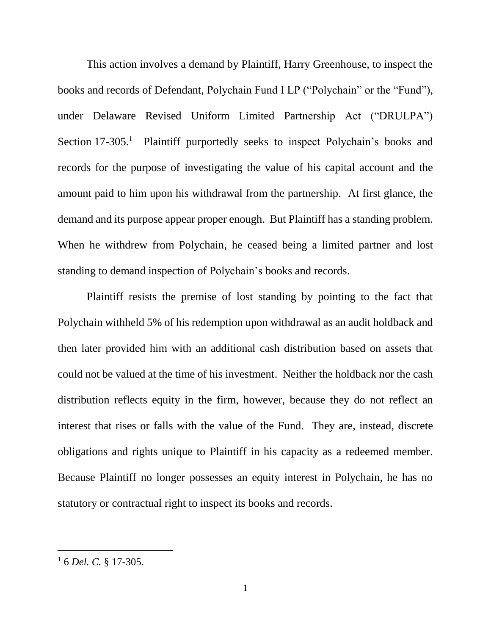This action involves a demand by Plaintiff, Harry Greenhouse, to inspect the books and records of Defendant, Polychain Fund I LP ("Polychain" or the "Fund"), under Delaware Revised Uniform Limited Partnership Act ("DRULPA") Section 17-305.<sup>1</sup> Plaintiff purportedly seeks to inspect Polychain's books and records for the purpose of investigating the value of his capital account and the amount paid to him upon his withdrawal from the partnership. At first glance, the demand and its purpose appear proper enough. But Plaintiff has a standing problem. When he withdrew from Polychain, he ceased being a limited partner and lost standing to demand inspection of Polychain's books and records.

Plaintiff resists the premise of lost standing by pointing to the fact that Polychain withheld 5% of his redemption upon withdrawal as an audit holdback and then later provided him with an additional cash distribution based on assets that could not be valued at the time of his investment. Neither the holdback nor the cash distribution reflects equity in the firm, however, because they do not reflect an interest that rises or falls with the value of the Fund. They are, instead, discrete obligations and rights unique to Plaintiff in his capacity as a redeemed member. Because Plaintiff no longer possesses an equity interest in Polychain, he has no statutory or contractual right to inspect its books and records.

<sup>1</sup> 6 *Del. C.* § 17-305.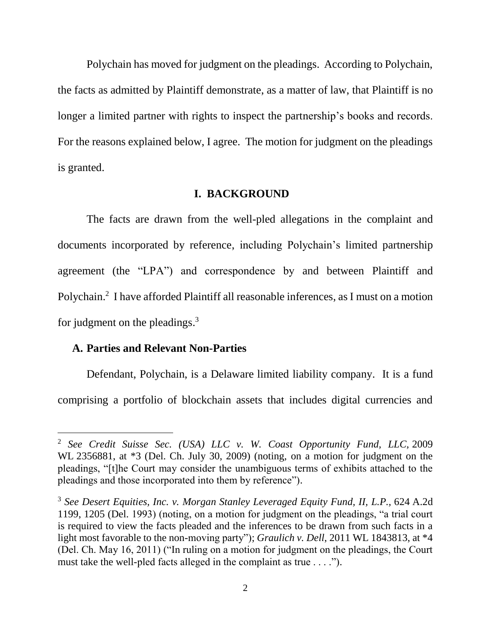Polychain has moved for judgment on the pleadings. According to Polychain, the facts as admitted by Plaintiff demonstrate, as a matter of law, that Plaintiff is no longer a limited partner with rights to inspect the partnership's books and records. For the reasons explained below, I agree. The motion for judgment on the pleadings is granted.

### **I. BACKGROUND**

The facts are drawn from the well-pled allegations in the complaint and documents incorporated by reference, including Polychain's limited partnership agreement (the "LPA") and correspondence by and between Plaintiff and Polychain.<sup>2</sup> I have afforded Plaintiff all reasonable inferences, as I must on a motion for judgment on the pleadings. $3$ 

## **A. Parties and Relevant Non-Parties**

 $\overline{a}$ 

Defendant, Polychain, is a Delaware limited liability company. It is a fund comprising a portfolio of blockchain assets that includes digital currencies and

<sup>2</sup> *See Credit Suisse Sec. (USA) LLC v. W. Coast Opportunity Fund, LLC,* 2009 WL 2356881, at  $*3$  (Del. Ch. July 30, 2009) (noting, on a motion for judgment on the pleadings, "[t]he Court may consider the unambiguous terms of exhibits attached to the pleadings and those incorporated into them by reference").

<sup>3</sup> *See Desert Equities, Inc. v. Morgan Stanley Leveraged Equity Fund, II, L.P.,* 624 A.2d 1199, 1205 (Del. 1993) (noting, on a motion for judgment on the pleadings, "a trial court is required to view the facts pleaded and the inferences to be drawn from such facts in a light most favorable to the non-moving party"); *Graulich v. Dell*, 2011 WL 1843813, at \*4 (Del. Ch. May 16, 2011) ("In ruling on a motion for judgment on the pleadings, the Court must take the well-pled facts alleged in the complaint as true . . . .").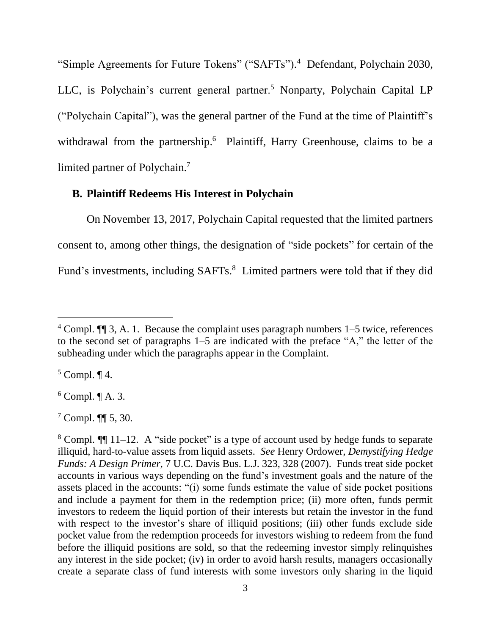"Simple Agreements for Future Tokens" ("SAFTs").<sup>4</sup> Defendant, Polychain 2030, LLC, is Polychain's current general partner.<sup>5</sup> Nonparty, Polychain Capital LP ("Polychain Capital"), was the general partner of the Fund at the time of Plaintiff's withdrawal from the partnership.<sup>6</sup> Plaintiff, Harry Greenhouse, claims to be a limited partner of Polychain.<sup>7</sup>

### **B. Plaintiff Redeems His Interest in Polychain**

On November 13, 2017, Polychain Capital requested that the limited partners consent to, among other things, the designation of "side pockets" for certain of the Fund's investments, including SAFTs. 8 Limited partners were told that if they did

 $5$  Compl.  $\P$  4.

l

 $6$  Compl.  $\P$  A. 3.

<sup>4</sup> Compl. ¶¶ 3, A. 1. Because the complaint uses paragraph numbers 1–5 twice, references to the second set of paragraphs 1–5 are indicated with the preface "A," the letter of the subheading under which the paragraphs appear in the Complaint.

<sup>7</sup> Compl. ¶¶ 5, 30.

<sup>8</sup> Compl. ¶¶ 11–12. A "side pocket" is a type of account used by hedge funds to separate illiquid, hard-to-value assets from liquid assets. *See* Henry Ordower, *Demystifying Hedge Funds: A Design Primer*, 7 U.C. Davis Bus. L.J. 323, 328 (2007). Funds treat side pocket accounts in various ways depending on the fund's investment goals and the nature of the assets placed in the accounts: "(i) some funds estimate the value of side pocket positions and include a payment for them in the redemption price; (ii) more often, funds permit investors to redeem the liquid portion of their interests but retain the investor in the fund with respect to the investor's share of illiquid positions; (iii) other funds exclude side pocket value from the redemption proceeds for investors wishing to redeem from the fund before the illiquid positions are sold, so that the redeeming investor simply relinquishes any interest in the side pocket; (iv) in order to avoid harsh results, managers occasionally create a separate class of fund interests with some investors only sharing in the liquid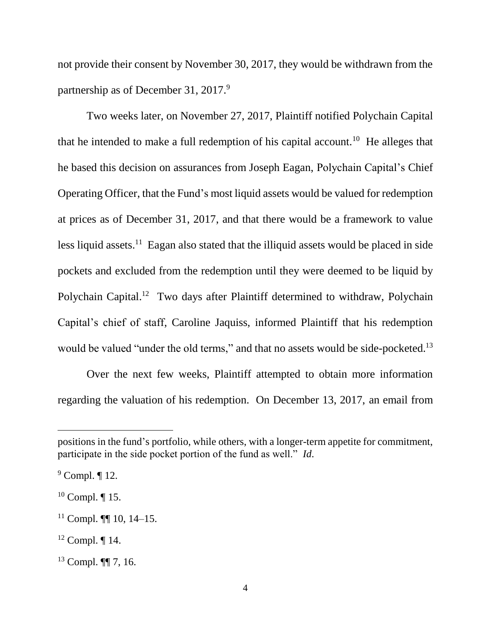not provide their consent by November 30, 2017, they would be withdrawn from the partnership as of December 31, 2017.<sup>9</sup>

Two weeks later, on November 27, 2017, Plaintiff notified Polychain Capital that he intended to make a full redemption of his capital account.<sup>10</sup> He alleges that he based this decision on assurances from Joseph Eagan, Polychain Capital's Chief Operating Officer, that the Fund's most liquid assets would be valued for redemption at prices as of December 31, 2017, and that there would be a framework to value less liquid assets.<sup>11</sup> Eagan also stated that the illiquid assets would be placed in side pockets and excluded from the redemption until they were deemed to be liquid by Polychain Capital.<sup>12</sup> Two days after Plaintiff determined to withdraw, Polychain Capital's chief of staff, Caroline Jaquiss, informed Plaintiff that his redemption would be valued "under the old terms," and that no assets would be side-pocketed.<sup>13</sup>

Over the next few weeks, Plaintiff attempted to obtain more information regarding the valuation of his redemption. On December 13, 2017, an email from

positions in the fund's portfolio, while others, with a longer-term appetite for commitment, participate in the side pocket portion of the fund as well." *Id*.

 $9$  Compl.  $\P$  12.

 $10$  Compl. | 15.

 $11$  Compl.  $\P\P$  10, 14–15.

 $12$  Compl.  $\P$  14.

<sup>13</sup> Compl. ¶¶ 7, 16.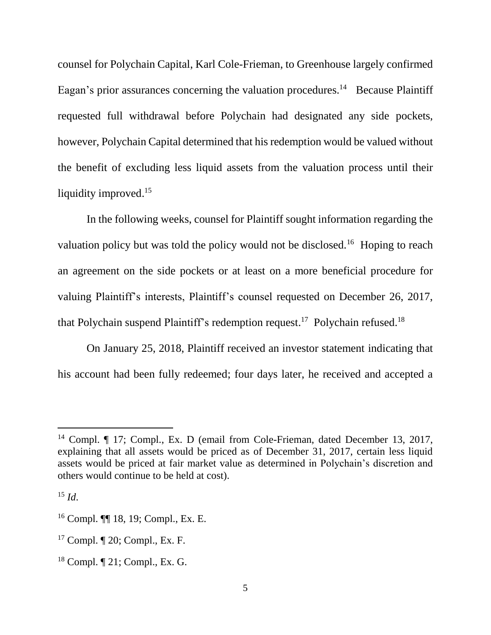counsel for Polychain Capital, Karl Cole-Frieman, to Greenhouse largely confirmed Eagan's prior assurances concerning the valuation procedures.<sup>14</sup> Because Plaintiff requested full withdrawal before Polychain had designated any side pockets, however, Polychain Capital determined that his redemption would be valued without the benefit of excluding less liquid assets from the valuation process until their liquidity improved.<sup>15</sup>

In the following weeks, counsel for Plaintiff sought information regarding the valuation policy but was told the policy would not be disclosed.<sup>16</sup> Hoping to reach an agreement on the side pockets or at least on a more beneficial procedure for valuing Plaintiff's interests, Plaintiff's counsel requested on December 26, 2017, that Polychain suspend Plaintiff's redemption request.<sup>17</sup> Polychain refused.<sup>18</sup>

On January 25, 2018, Plaintiff received an investor statement indicating that his account had been fully redeemed; four days later, he received and accepted a

<sup>&</sup>lt;sup>14</sup> Compl. ¶ 17; Compl., Ex. D (email from Cole-Frieman, dated December 13, 2017, explaining that all assets would be priced as of December 31, 2017, certain less liquid assets would be priced at fair market value as determined in Polychain's discretion and others would continue to be held at cost).

 $^{15}$  *Id.* 

<sup>16</sup> Compl. ¶¶ 18, 19; Compl., Ex. E.

<sup>17</sup> Compl. ¶ 20; Compl., Ex. F.

<sup>18</sup> Compl. ¶ 21; Compl., Ex. G.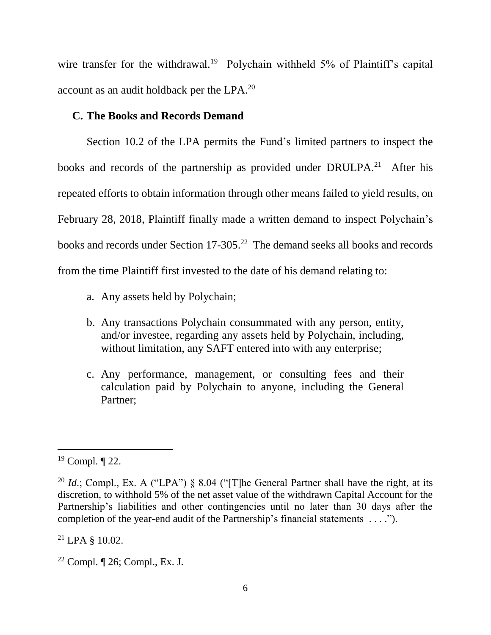wire transfer for the withdrawal.<sup>19</sup> Polychain withheld 5% of Plaintiff's capital account as an audit holdback per the LPA.<sup>20</sup>

## **C. The Books and Records Demand**

Section 10.2 of the LPA permits the Fund's limited partners to inspect the books and records of the partnership as provided under DRULPA.<sup>21</sup> After his repeated efforts to obtain information through other means failed to yield results, on February 28, 2018, Plaintiff finally made a written demand to inspect Polychain's books and records under Section 17-305. 22 The demand seeks all books and records from the time Plaintiff first invested to the date of his demand relating to:

- a. Any assets held by Polychain;
- b. Any transactions Polychain consummated with any person, entity, and/or investee, regarding any assets held by Polychain, including, without limitation, any SAFT entered into with any enterprise;
- c. Any performance, management, or consulting fees and their calculation paid by Polychain to anyone, including the General Partner;

 $\overline{a}$ 

<sup>21</sup> LPA § 10.02.

<sup>19</sup> Compl. ¶ 22.

<sup>&</sup>lt;sup>20</sup> *Id.*; Compl., Ex. A ("LPA") § 8.04 ("[T]he General Partner shall have the right, at its discretion, to withhold 5% of the net asset value of the withdrawn Capital Account for the Partnership's liabilities and other contingencies until no later than 30 days after the completion of the year-end audit of the Partnership's financial statements . . . .").

<sup>22</sup> Compl. ¶ 26; Compl., Ex. J.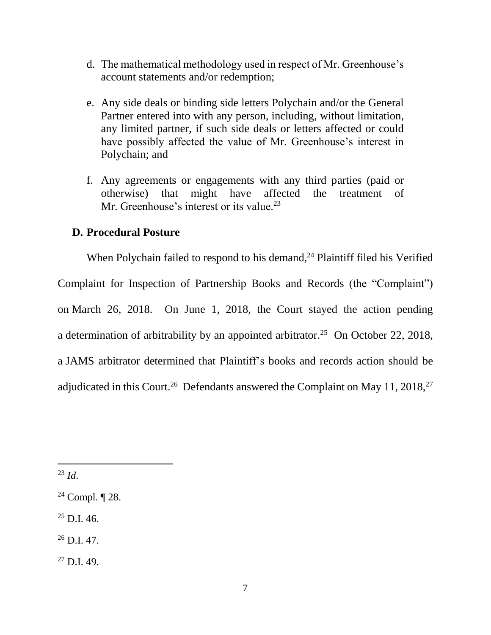- d. The mathematical methodology used in respect of Mr. Greenhouse's account statements and/or redemption;
- e. Any side deals or binding side letters Polychain and/or the General Partner entered into with any person, including, without limitation, any limited partner, if such side deals or letters affected or could have possibly affected the value of Mr. Greenhouse's interest in Polychain; and
- f. Any agreements or engagements with any third parties (paid or otherwise) that might have affected the treatment of Mr. Greenhouse's interest or its value.<sup>23</sup>

### **D. Procedural Posture**

When Polychain failed to respond to his demand, $24$  Plaintiff filed his Verified Complaint for Inspection of Partnership Books and Records (the "Complaint") on March 26, 2018. On June 1, 2018, the Court stayed the action pending a determination of arbitrability by an appointed arbitrator.<sup>25</sup> On October 22, 2018, a JAMS arbitrator determined that Plaintiff's books and records action should be adjudicated in this Court.<sup>26</sup> Defendants answered the Complaint on May 11, 2018,<sup>27</sup>

<sup>23</sup> *Id*.

l

 $^{25}$  D.I. 46.

 $^{26}$  D.I. 47.

 $27$  D.I. 49.

<sup>24</sup> Compl. ¶ 28.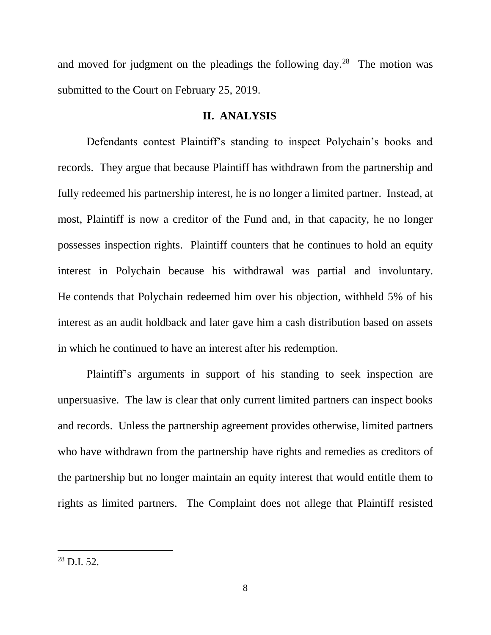and moved for judgment on the pleadings the following day.<sup>28</sup> The motion was submitted to the Court on February 25, 2019.

### **II. ANALYSIS**

Defendants contest Plaintiff's standing to inspect Polychain's books and records. They argue that because Plaintiff has withdrawn from the partnership and fully redeemed his partnership interest, he is no longer a limited partner. Instead, at most, Plaintiff is now a creditor of the Fund and, in that capacity, he no longer possesses inspection rights. Plaintiff counters that he continues to hold an equity interest in Polychain because his withdrawal was partial and involuntary. He contends that Polychain redeemed him over his objection, withheld 5% of his interest as an audit holdback and later gave him a cash distribution based on assets in which he continued to have an interest after his redemption.

Plaintiff's arguments in support of his standing to seek inspection are unpersuasive. The law is clear that only current limited partners can inspect books and records. Unless the partnership agreement provides otherwise, limited partners who have withdrawn from the partnership have rights and remedies as creditors of the partnership but no longer maintain an equity interest that would entitle them to rights as limited partners. The Complaint does not allege that Plaintiff resisted

 $^{28}$  D I 52.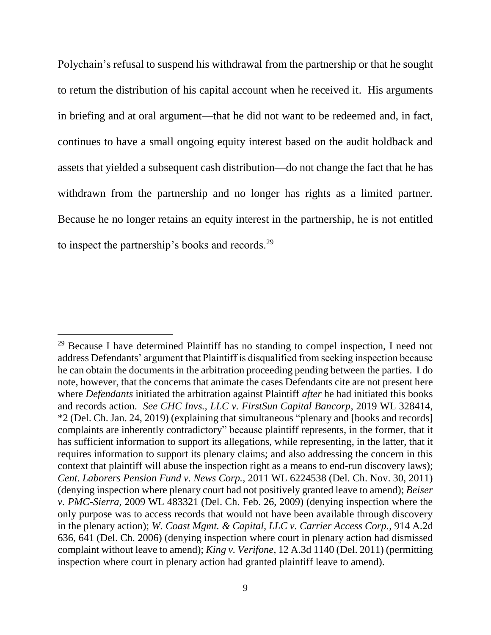Polychain's refusal to suspend his withdrawal from the partnership or that he sought to return the distribution of his capital account when he received it. His arguments in briefing and at oral argument—that he did not want to be redeemed and, in fact, continues to have a small ongoing equity interest based on the audit holdback and assets that yielded a subsequent cash distribution—do not change the fact that he has withdrawn from the partnership and no longer has rights as a limited partner. Because he no longer retains an equity interest in the partnership, he is not entitled to inspect the partnership's books and records.<sup>29</sup>

 $29$  Because I have determined Plaintiff has no standing to compel inspection, I need not address Defendants' argument that Plaintiff is disqualified from seeking inspection because he can obtain the documents in the arbitration proceeding pending between the parties. I do note, however, that the concerns that animate the cases Defendants cite are not present here where *Defendants* initiated the arbitration against Plaintiff *after* he had initiated this books and records action. *See CHC Invs., LLC v. FirstSun Capital Bancorp*, 2019 WL 328414, \*2 (Del. Ch. Jan. 24, 2019) (explaining that simultaneous "plenary and [books and records] complaints are inherently contradictory" because plaintiff represents, in the former, that it has sufficient information to support its allegations, while representing, in the latter, that it requires information to support its plenary claims; and also addressing the concern in this context that plaintiff will abuse the inspection right as a means to end-run discovery laws); *Cent. Laborers Pension Fund v. News Corp.*, 2011 WL 6224538 (Del. Ch. Nov. 30, 2011) (denying inspection where plenary court had not positively granted leave to amend); *Beiser v. PMC-Sierra*, 2009 WL 483321 (Del. Ch. Feb. 26, 2009) (denying inspection where the only purpose was to access records that would not have been available through discovery in the plenary action); *W. Coast Mgmt. & Capital, LLC v. Carrier Access Corp.*, 914 A.2d 636, 641 (Del. Ch. 2006) (denying inspection where court in plenary action had dismissed complaint without leave to amend); *King v. Verifone*, 12 A.3d 1140 (Del. 2011) (permitting inspection where court in plenary action had granted plaintiff leave to amend).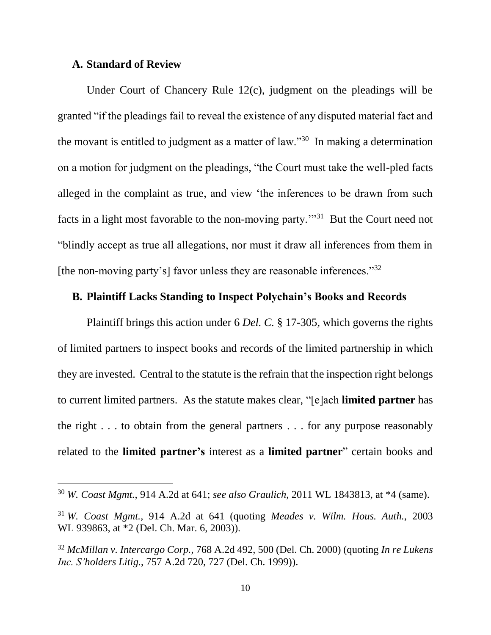### **A. Standard of Review**

l

Under Court of Chancery Rule 12(c), judgment on the pleadings will be granted "if the pleadings fail to reveal the existence of any disputed material fact and the movant is entitled to judgment as a matter of law."<sup>30</sup> In making a determination on a motion for judgment on the pleadings, "the Court must take the well-pled facts alleged in the complaint as true, and view 'the inferences to be drawn from such facts in a light most favorable to the non-moving party."<sup>31</sup> But the Court need not "blindly accept as true all allegations, nor must it draw all inferences from them in [the non-moving party's] favor unless they are reasonable inferences."<sup>32</sup>

# **B. Plaintiff Lacks Standing to Inspect Polychain's Books and Records**

Plaintiff brings this action under 6 *Del. C.* § 17-305, which governs the rights of limited partners to inspect books and records of the limited partnership in which they are invested. Central to the statute is the refrain that the inspection right belongs to current limited partners. As the statute makes clear, "[e]ach **limited partner** has the right . . . to obtain from the general partners . . . for any purpose reasonably related to the **limited partner's** interest as a **limited partner**" certain books and

<sup>30</sup> *W. Coast Mgmt.*, 914 A.2d at 641; *see also Graulich*, 2011 WL 1843813, at \*4 (same).

<sup>31</sup> *W. Coast Mgmt.*, 914 A.2d at 641 (quoting *Meades v. Wilm. Hous. Auth.*, 2003 WL 939863, at \*2 (Del. Ch. Mar. 6, 2003)).

<sup>32</sup> *McMillan v. Intercargo Corp.*, 768 A.2d 492, 500 (Del. Ch. 2000) (quoting *In re Lukens Inc. S'holders Litig.*, 757 A.2d 720, 727 (Del. Ch. 1999)).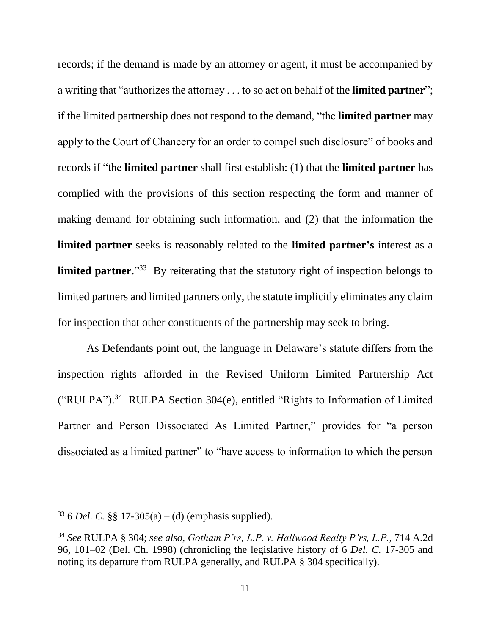records; if the demand is made by an attorney or agent, it must be accompanied by a writing that "authorizes the attorney . . . to so act on behalf of the **limited partner**"; if the limited partnership does not respond to the demand, "the **limited partner** may apply to the Court of Chancery for an order to compel such disclosure" of books and records if "the **limited partner** shall first establish: (1) that the **limited partner** has complied with the provisions of this section respecting the form and manner of making demand for obtaining such information, and (2) that the information the **limited partner** seeks is reasonably related to the **limited partner's** interest as a **limited partner.**"<sup>33</sup> By reiterating that the statutory right of inspection belongs to limited partners and limited partners only, the statute implicitly eliminates any claim for inspection that other constituents of the partnership may seek to bring.

As Defendants point out, the language in Delaware's statute differs from the inspection rights afforded in the Revised Uniform Limited Partnership Act ("RULPA"). 34 RULPA Section 304(e), entitled "Rights to Information of Limited Partner and Person Dissociated As Limited Partner," provides for "a person dissociated as a limited partner" to "have access to information to which the person

<sup>&</sup>lt;sup>33</sup> 6 *Del. C.* §§ 17-305(a) – (d) (emphasis supplied).

<sup>34</sup> *See* RULPA § 304; *see also, Gotham P'rs, L.P. v. Hallwood Realty P'rs, L.P.*, 714 A.2d 96, 101–02 (Del. Ch. 1998) (chronicling the legislative history of 6 *Del. C.* 17-305 and noting its departure from RULPA generally, and RULPA § 304 specifically).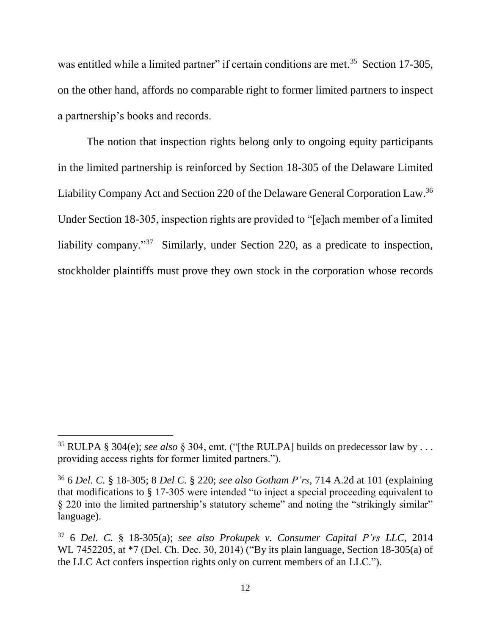was entitled while a limited partner" if certain conditions are met.<sup>35</sup> Section 17-305, on the other hand, affords no comparable right to former limited partners to inspect a partnership's books and records.

The notion that inspection rights belong only to ongoing equity participants in the limited partnership is reinforced by Section 18-305 of the Delaware Limited Liability Company Act and Section 220 of the Delaware General Corporation Law. 36 Under Section 18-305, inspection rights are provided to "[e]ach member of a limited liability company."<sup>37</sup> Similarly, under Section 220, as a predicate to inspection, stockholder plaintiffs must prove they own stock in the corporation whose records

<sup>35</sup> RULPA § 304(e); *see also* § 304, cmt. ("[the RULPA] builds on predecessor law by . . . providing access rights for former limited partners.").

<sup>36</sup> 6 *Del. C.* § 18-305; 8 *Del C.* § 220; *see also Gotham P'rs,* 714 A.2d at 101 (explaining that modifications to § 17-305 were intended "to inject a special proceeding equivalent to § 220 into the limited partnership's statutory scheme" and noting the "strikingly similar" language).

<sup>37</sup> 6 *Del. C.* § 18-305(a); *see also Prokupek v. Consumer Capital P'rs LLC*, 2014 WL 7452205, at \*7 (Del. Ch. Dec. 30, 2014) ("By its plain language, Section 18-305(a) of the LLC Act confers inspection rights only on current members of an LLC.").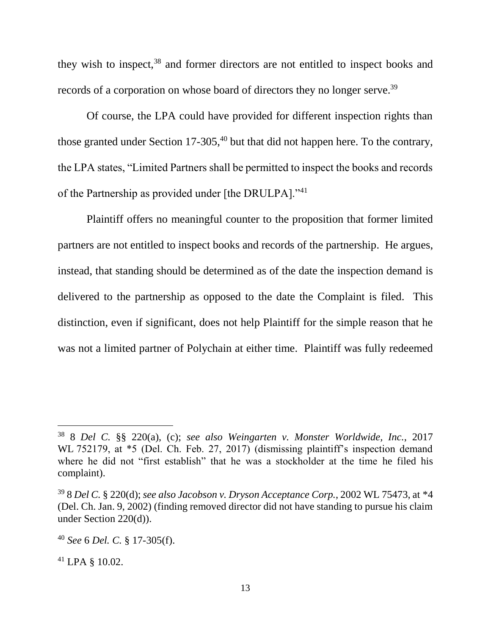they wish to inspect,<sup>38</sup> and former directors are not entitled to inspect books and records of a corporation on whose board of directors they no longer serve.<sup>39</sup>

Of course, the LPA could have provided for different inspection rights than those granted under Section  $17-305$ ,<sup>40</sup> but that did not happen here. To the contrary, the LPA states, "Limited Partners shall be permitted to inspect the books and records of the Partnership as provided under [the DRULPA]."41

Plaintiff offers no meaningful counter to the proposition that former limited partners are not entitled to inspect books and records of the partnership. He argues, instead, that standing should be determined as of the date the inspection demand is delivered to the partnership as opposed to the date the Complaint is filed. This distinction, even if significant, does not help Plaintiff for the simple reason that he was not a limited partner of Polychain at either time. Plaintiff was fully redeemed

<sup>41</sup> LPA § 10.02.

<sup>38</sup> 8 *Del C.* §§ 220(a), (c); *see also Weingarten v. Monster Worldwide, Inc.*, 2017 WL 752179, at  $*5$  (Del. Ch. Feb. 27, 2017) (dismissing plaintiff's inspection demand where he did not "first establish" that he was a stockholder at the time he filed his complaint).

<sup>39</sup> 8 *Del C.* § 220(d); *see also Jacobson v. Dryson Acceptance Corp.*, 2002 WL 75473, at \*4 (Del. Ch. Jan. 9, 2002) (finding removed director did not have standing to pursue his claim under Section 220(d)).

<sup>40</sup> *See* 6 *Del. C.* § 17-305(f).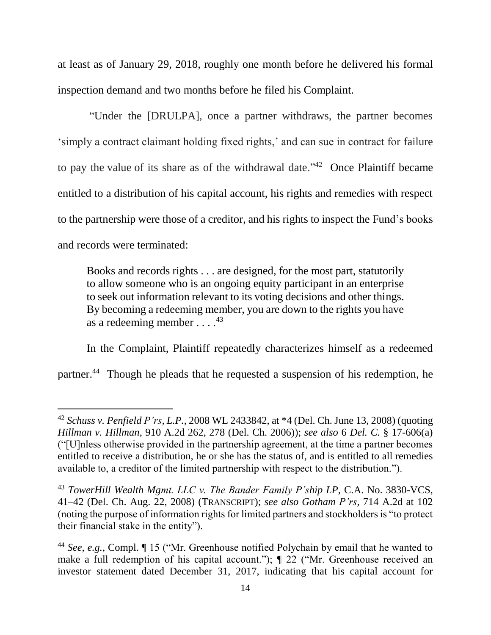at least as of January 29, 2018, roughly one month before he delivered his formal inspection demand and two months before he filed his Complaint.

"Under the [DRULPA], once a partner withdraws, the partner becomes 'simply a contract claimant holding fixed rights,' and can sue in contract for failure to pay the value of its share as of the withdrawal date."<sup>42</sup> Once Plaintiff became entitled to a distribution of his capital account, his rights and remedies with respect to the partnership were those of a creditor, and his rights to inspect the Fund's books and records were terminated:

Books and records rights . . . are designed, for the most part, statutorily to allow someone who is an ongoing equity participant in an enterprise to seek out information relevant to its voting decisions and other things. By becoming a redeeming member, you are down to the rights you have as a redeeming member  $\dots$ .<sup>43</sup>

In the Complaint, Plaintiff repeatedly characterizes himself as a redeemed partner.<sup>44</sup> Though he pleads that he requested a suspension of his redemption, he

<sup>42</sup> *Schuss v. Penfield P'rs, L.P.*, 2008 WL 2433842, at \*4 (Del. Ch. June 13, 2008) (quoting *Hillman v. Hillman*, 910 A.2d 262, 278 (Del. Ch. 2006)); *see also* 6 *Del. C.* § 17-606(a) ("[U]nless otherwise provided in the partnership agreement, at the time a partner becomes entitled to receive a distribution, he or she has the status of, and is entitled to all remedies available to, a creditor of the limited partnership with respect to the distribution.").

<sup>43</sup> *TowerHill Wealth Mgmt. LLC v. The Bander Family P'ship LP*, C.A. No. 3830-VCS, 41–42 (Del. Ch. Aug. 22, 2008) (TRANSCRIPT); *see also Gotham P'rs*, 714 A.2d at 102 (noting the purpose of information rights for limited partners and stockholders is "to protect their financial stake in the entity").

<sup>44</sup> *See, e.g.*, Compl. ¶ 15 ("Mr. Greenhouse notified Polychain by email that he wanted to make a full redemption of his capital account."); ¶ 22 ("Mr. Greenhouse received an investor statement dated December 31, 2017, indicating that his capital account for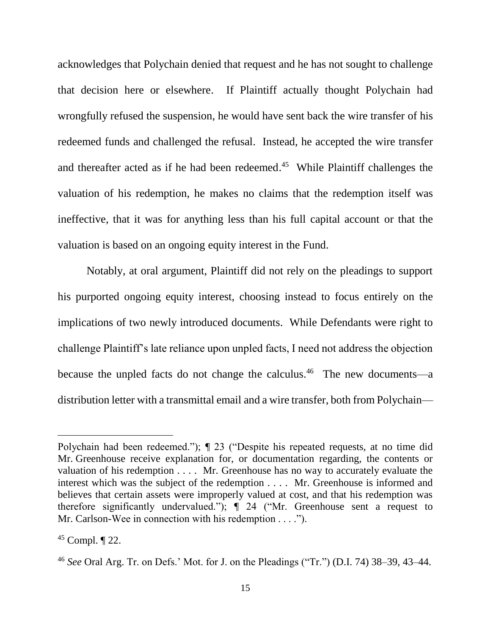acknowledges that Polychain denied that request and he has not sought to challenge that decision here or elsewhere. If Plaintiff actually thought Polychain had wrongfully refused the suspension, he would have sent back the wire transfer of his redeemed funds and challenged the refusal. Instead, he accepted the wire transfer and thereafter acted as if he had been redeemed. 45 While Plaintiff challenges the valuation of his redemption, he makes no claims that the redemption itself was ineffective, that it was for anything less than his full capital account or that the valuation is based on an ongoing equity interest in the Fund.

Notably, at oral argument, Plaintiff did not rely on the pleadings to support his purported ongoing equity interest, choosing instead to focus entirely on the implications of two newly introduced documents. While Defendants were right to challenge Plaintiff's late reliance upon unpled facts, I need not address the objection because the unpled facts do not change the calculus. 46 The new documents—a distribution letter with a transmittal email and a wire transfer, both from Polychain—

Polychain had been redeemed."); ¶ 23 ("Despite his repeated requests, at no time did Mr. Greenhouse receive explanation for, or documentation regarding, the contents or valuation of his redemption . . . . Mr. Greenhouse has no way to accurately evaluate the interest which was the subject of the redemption . . . . Mr. Greenhouse is informed and believes that certain assets were improperly valued at cost, and that his redemption was therefore significantly undervalued."); ¶ 24 ("Mr. Greenhouse sent a request to Mr. Carlson-Wee in connection with his redemption . . . .").

<sup>45</sup> Compl. ¶ 22.

<sup>46</sup> *See* Oral Arg. Tr. on Defs.' Mot. for J. on the Pleadings ("Tr.") (D.I. 74) 38–39, 43–44.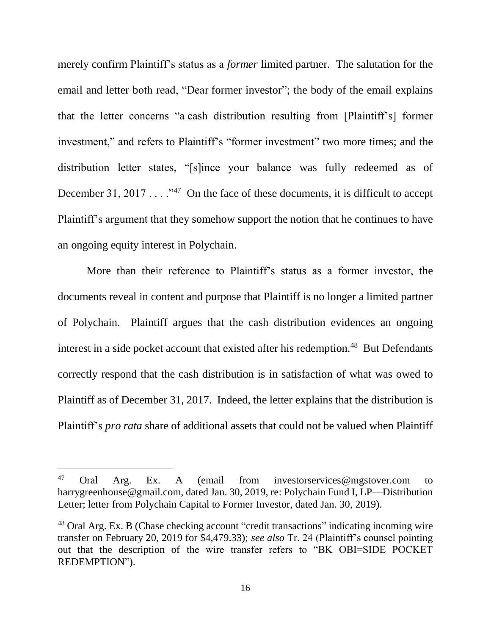merely confirm Plaintiff's status as a *former* limited partner. The salutation for the email and letter both read, "Dear former investor"; the body of the email explains that the letter concerns "a cash distribution resulting from [Plaintiff's] former investment," and refers to Plaintiff's "former investment" two more times; and the distribution letter states, "[s]ince your balance was fully redeemed as of December 31, 2017 . . . . . "<sup>47</sup> On the face of these documents, it is difficult to accept Plaintiff's argument that they somehow support the notion that he continues to have an ongoing equity interest in Polychain.

More than their reference to Plaintiff's status as a former investor, the documents reveal in content and purpose that Plaintiff is no longer a limited partner of Polychain. Plaintiff argues that the cash distribution evidences an ongoing interest in a side pocket account that existed after his redemption.<sup>48</sup> But Defendants correctly respond that the cash distribution is in satisfaction of what was owed to Plaintiff as of December 31, 2017. Indeed, the letter explains that the distribution is Plaintiff's *pro rata* share of additional assets that could not be valued when Plaintiff

<sup>47</sup> Oral Arg. Ex. A (email from investorservices@mgstover.com to harrygreenhouse@gmail.com, dated Jan. 30, 2019, re: Polychain Fund I, LP—Distribution Letter; letter from Polychain Capital to Former Investor, dated Jan. 30, 2019).

<sup>48</sup> Oral Arg. Ex. B (Chase checking account "credit transactions" indicating incoming wire transfer on February 20, 2019 for \$4,479.33); *see also* Tr. 24 (Plaintiff's counsel pointing out that the description of the wire transfer refers to "BK OBI=SIDE POCKET REDEMPTION").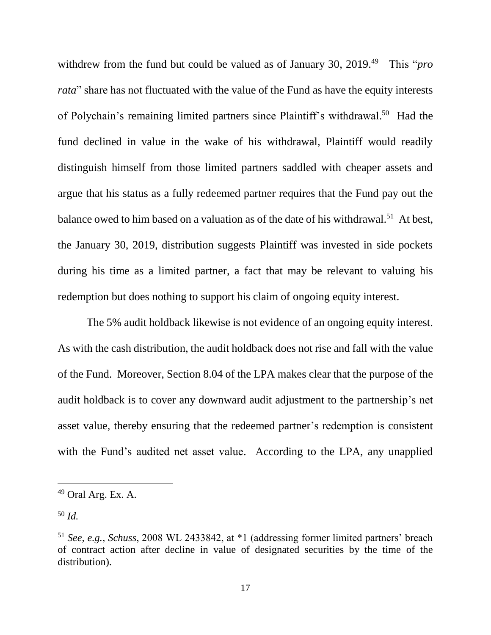withdrew from the fund but could be valued as of January 30, 2019.<sup>49</sup> This "*pro rata*" share has not fluctuated with the value of the Fund as have the equity interests of Polychain's remaining limited partners since Plaintiff's withdrawal.<sup>50</sup> Had the fund declined in value in the wake of his withdrawal, Plaintiff would readily distinguish himself from those limited partners saddled with cheaper assets and argue that his status as a fully redeemed partner requires that the Fund pay out the balance owed to him based on a valuation as of the date of his withdrawal.<sup>51</sup> At best, the January 30, 2019, distribution suggests Plaintiff was invested in side pockets during his time as a limited partner, a fact that may be relevant to valuing his redemption but does nothing to support his claim of ongoing equity interest.

The 5% audit holdback likewise is not evidence of an ongoing equity interest. As with the cash distribution, the audit holdback does not rise and fall with the value of the Fund. Moreover, Section 8.04 of the LPA makes clear that the purpose of the audit holdback is to cover any downward audit adjustment to the partnership's net asset value, thereby ensuring that the redeemed partner's redemption is consistent with the Fund's audited net asset value. According to the LPA, any unapplied

 $49$  Oral Arg. Ex. A.

<sup>50</sup> *Id.*

<sup>51</sup> *See, e.g.*, *Schuss*, 2008 WL 2433842, at \*1 (addressing former limited partners' breach of contract action after decline in value of designated securities by the time of the distribution).